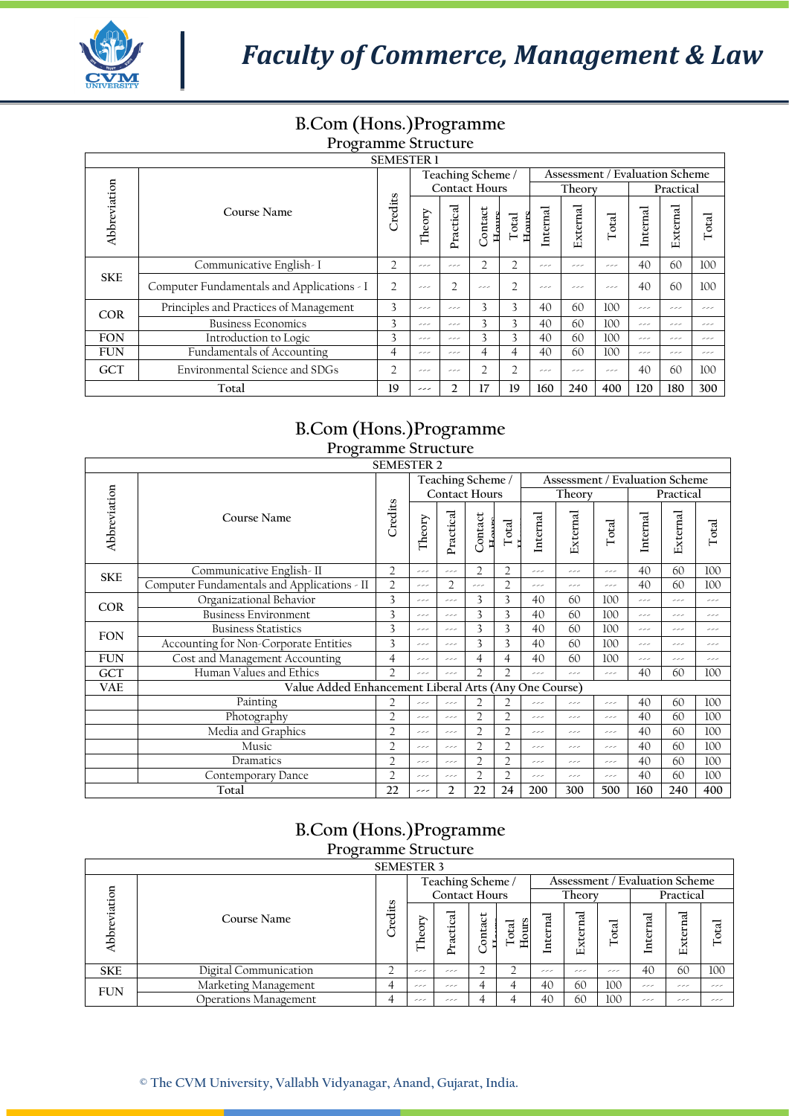

## **B.Com (Hons.)Programme**

## **Programme Structure**

| <b>SEMESTER 1</b>                            |                                            |                |        |                |                      |                         |          |          |                                                                                                                                                                  |  |           |       |
|----------------------------------------------|--------------------------------------------|----------------|--------|----------------|----------------------|-------------------------|----------|----------|------------------------------------------------------------------------------------------------------------------------------------------------------------------|--|-----------|-------|
|                                              |                                            |                |        |                | Teaching Scheme /    |                         |          |          |                                                                                                                                                                  |  |           |       |
|                                              |                                            | Credits        |        |                | <b>Contact Hours</b> |                         |          | Theory   | Assessment / Evaluation Scheme<br>Internal<br>Total<br>40<br>ررر<br>40<br>ررر<br>100<br>ررر<br>100<br>ررر<br>100<br>ررر<br>100<br>ررر<br>40<br>ررر<br>120<br>400 |  | Practical |       |
| Abbreviation                                 | Course Name                                |                | Theory | Practical      | Contact<br>Hours     | $H_{\rm OIII}$<br>Total | Internal | External |                                                                                                                                                                  |  | External  | Total |
|                                              | Communicative English-I                    | $\overline{2}$ | ررر    | ررر            | $\overline{2}$       | 2                       | ررر      | ررر      |                                                                                                                                                                  |  | 60        | 100   |
| <b>SKE</b>                                   | Computer Fundamentals and Applications - I | $\overline{2}$ | ررر    | h              | ررر                  | $\overline{2}$          | ررر      | ررر      |                                                                                                                                                                  |  | 60        | 100   |
| <b>COR</b>                                   | Principles and Practices of Management     | 3              | ررر    | ررر            | 3                    | 3                       | 40       | 60       |                                                                                                                                                                  |  | ررر       | ررر   |
|                                              | <b>Business Economics</b>                  | 3              | ررر    | ---            | 3                    | 3                       | 40       | 60       |                                                                                                                                                                  |  | ررر       | ررر   |
| <b>FON</b>                                   | Introduction to Logic                      | 3              | ررر    | ررر            | 3                    | 3                       | 40       | 60       |                                                                                                                                                                  |  | ر ر       | ررر   |
| <b>FUN</b>                                   | Fundamentals of Accounting                 | 4              | ررر    | ---            | 4                    | 4                       | 40       | 60       |                                                                                                                                                                  |  | ررر       | ررر   |
| Environmental Science and SDGs<br><b>GCT</b> |                                            | $\overline{2}$ | ررر    | ررر            | $\overline{2}$       | 2                       | ررر      | ررر      |                                                                                                                                                                  |  | 60        | 100   |
|                                              | Total                                      | 19             | ---    | $\mathfrak{D}$ | 17                   | 19                      | 160      | 240      |                                                                                                                                                                  |  | 180       | 300   |

## **B.Com (Hons.)Programme**

| <b>Programme Structure</b> |                                             |                                                                                                                                                                                                                                                                                                                                                                                                                                                                                                                                                                                                                                                                                                                                                                                            |     |                |                |                                       |          |          |       |          |           |       |
|----------------------------|---------------------------------------------|--------------------------------------------------------------------------------------------------------------------------------------------------------------------------------------------------------------------------------------------------------------------------------------------------------------------------------------------------------------------------------------------------------------------------------------------------------------------------------------------------------------------------------------------------------------------------------------------------------------------------------------------------------------------------------------------------------------------------------------------------------------------------------------------|-----|----------------|----------------|---------------------------------------|----------|----------|-------|----------|-----------|-------|
|                            | <b>SEMESTER 2</b>                           |                                                                                                                                                                                                                                                                                                                                                                                                                                                                                                                                                                                                                                                                                                                                                                                            |     |                |                |                                       |          |          |       |          |           |       |
|                            |                                             | Teaching Scheme /<br><b>Contact Hours</b><br>Credits<br>Practical<br>Contact<br>Theory<br>Total<br>$\overline{2}$<br>$\overline{2}$<br>$\overline{2}$<br>سدر<br>ررر<br>$\overline{2}$<br>$\overline{2}$<br>$\overline{2}$<br>سدر<br>ررر<br>3<br>3<br>3<br>ررر<br>ررر<br>3<br>3<br>3<br>ررر<br>سدر<br>3<br>3<br>3<br>سدر<br>سدر<br>3<br>3<br>3<br>سدر<br>سدر<br>4<br>4<br>4<br>سدر<br>سدر<br>$\overline{2}$<br>$\overline{2}$<br>$\overline{2}$<br>ررر<br>ررر<br>Value Added Enhancement Liberal Arts<br>Any One Course)<br>$\overline{2}$<br>$\overline{2}$<br>$\mathfrak{D}$<br>ررر<br>ررر<br>$\overline{2}$<br>$\overline{2}$<br>$\overline{2}$<br>ررر<br>ررر<br>$\overline{2}$<br>$\overline{2}$<br>2<br>سدر<br>سدر<br>$\overline{2}$<br>$\overline{2}$<br>$\overline{2}$<br>سدر<br>ررر |     |                |                | <b>Assessment / Evaluation Scheme</b> |          |          |       |          |           |       |
|                            |                                             |                                                                                                                                                                                                                                                                                                                                                                                                                                                                                                                                                                                                                                                                                                                                                                                            |     |                |                |                                       |          | Theory   |       |          | Practical |       |
| Abbreviation               | Course Name                                 |                                                                                                                                                                                                                                                                                                                                                                                                                                                                                                                                                                                                                                                                                                                                                                                            |     |                |                |                                       | Internal | External | Total | Internal | External  | Total |
| <b>SKE</b>                 | Communicative English-II                    |                                                                                                                                                                                                                                                                                                                                                                                                                                                                                                                                                                                                                                                                                                                                                                                            |     |                |                |                                       | ررر      | سدر      | ررر   | 40       | 60        | 100   |
|                            | Computer Fundamentals and Applications - II |                                                                                                                                                                                                                                                                                                                                                                                                                                                                                                                                                                                                                                                                                                                                                                                            |     |                |                |                                       | ررر      | سدر      | ررر   | 40       | 60        | 100   |
| <b>COR</b>                 | Organizational Behavior                     |                                                                                                                                                                                                                                                                                                                                                                                                                                                                                                                                                                                                                                                                                                                                                                                            |     |                |                |                                       | 40       | 60       | 100   | سدر      | سدر       | سدر   |
|                            | <b>Business Environment</b>                 |                                                                                                                                                                                                                                                                                                                                                                                                                                                                                                                                                                                                                                                                                                                                                                                            |     |                |                |                                       | 40       | 60       | 100   | سدر      | سدر       | سدر   |
| <b>FON</b>                 | <b>Business Statistics</b>                  |                                                                                                                                                                                                                                                                                                                                                                                                                                                                                                                                                                                                                                                                                                                                                                                            |     |                |                |                                       | 40       | 60       | 100   | سدر      | سدر       | سدر   |
|                            | Accounting for Non-Corporate Entities       |                                                                                                                                                                                                                                                                                                                                                                                                                                                                                                                                                                                                                                                                                                                                                                                            |     |                |                |                                       | 40       | 60       | 100   | ررر      | ررر       | سدر   |
| <b>FUN</b>                 | Cost and Management Accounting              |                                                                                                                                                                                                                                                                                                                                                                                                                                                                                                                                                                                                                                                                                                                                                                                            |     |                |                |                                       | 40       | 60       | 100   | ررر      | ررر       | سدر   |
| GCT                        | Human Values and Ethics                     |                                                                                                                                                                                                                                                                                                                                                                                                                                                                                                                                                                                                                                                                                                                                                                                            |     |                |                |                                       | ررر      | سدر      | ررر   | 40       | 60        | 100   |
| <b>VAE</b>                 |                                             |                                                                                                                                                                                                                                                                                                                                                                                                                                                                                                                                                                                                                                                                                                                                                                                            |     |                |                |                                       |          |          |       |          |           |       |
|                            | Painting                                    |                                                                                                                                                                                                                                                                                                                                                                                                                                                                                                                                                                                                                                                                                                                                                                                            |     |                |                |                                       | ررر      | سدسه     | ررر   | 40       | 60        | 100   |
|                            | Photography                                 |                                                                                                                                                                                                                                                                                                                                                                                                                                                                                                                                                                                                                                                                                                                                                                                            |     |                |                |                                       | ررر      | سدر      | ررر   | 40       | 60        | 100   |
|                            | Media and Graphics                          |                                                                                                                                                                                                                                                                                                                                                                                                                                                                                                                                                                                                                                                                                                                                                                                            |     |                |                |                                       | ررر      | سدر      | ررر   | 40       | 60        | 100   |
|                            | Music                                       |                                                                                                                                                                                                                                                                                                                                                                                                                                                                                                                                                                                                                                                                                                                                                                                            |     |                |                |                                       | ررر      | ررر      | ررر   | 40       | 60        | 100   |
|                            | $\overline{2}$                              | ررر                                                                                                                                                                                                                                                                                                                                                                                                                                                                                                                                                                                                                                                                                                                                                                                        | سدر | $\overline{2}$ | $\overline{2}$ | ررر                                   | ررر      | ررر      | 40    | 60       | 100       |       |
|                            | $\overline{2}$                              | ررر                                                                                                                                                                                                                                                                                                                                                                                                                                                                                                                                                                                                                                                                                                                                                                                        | سدر | $\overline{2}$ | $\overline{2}$ | ررر                                   | سدر      | سدر      | 40    | 60       | 100       |       |
|                            | Total                                       | 22                                                                                                                                                                                                                                                                                                                                                                                                                                                                                                                                                                                                                                                                                                                                                                                         | --- | 2              | 22             | 24                                    | 200      | 300      | 500   | 160      | 240       | 400   |

### **B.Com (Hons.)Programme Programme Structure**

|            | 110 Statistic octactare      |              |                                                                                       |               |         |               |            |                  |     |        |             |       |  |
|------------|------------------------------|--------------|---------------------------------------------------------------------------------------|---------------|---------|---------------|------------|------------------|-----|--------|-------------|-------|--|
|            | <b>SEMESTER 3</b>            |              |                                                                                       |               |         |               |            |                  |     |        |             |       |  |
|            |                              |              | Assessment / Evaluation Scheme<br>Teaching Scheme /<br><b>Contact Hours</b><br>Theory |               |         |               |            |                  |     |        |             |       |  |
| ation      |                              | S<br>Credits |                                                                                       |               |         |               |            |                  |     |        | Practical   |       |  |
| Abbre      | Course Name                  |              | Sory<br>É                                                                             | ractical<br>≏ | Contact | Hours<br>otal | ನ<br>ntern | ನ<br>Ë<br>Ĥ<br>ш | ನ   | ಸ<br>Ē | ಸ<br>Extern | Total |  |
| <b>SKE</b> | Digital Communication        |              | ررر                                                                                   | ررر           |         |               | ررر        | ر ر ر            | ررر | 40     | 60          | 100   |  |
| <b>FUN</b> | Marketing Management         |              | ررر                                                                                   | ررر           |         |               | 40         | 60               | 100 | ررر    | ررر         | ررر   |  |
|            | <b>Operations Management</b> |              | ررر                                                                                   | ررر           | 4       |               | 40         | 60               | 100 | ---    | ررر         | ررر   |  |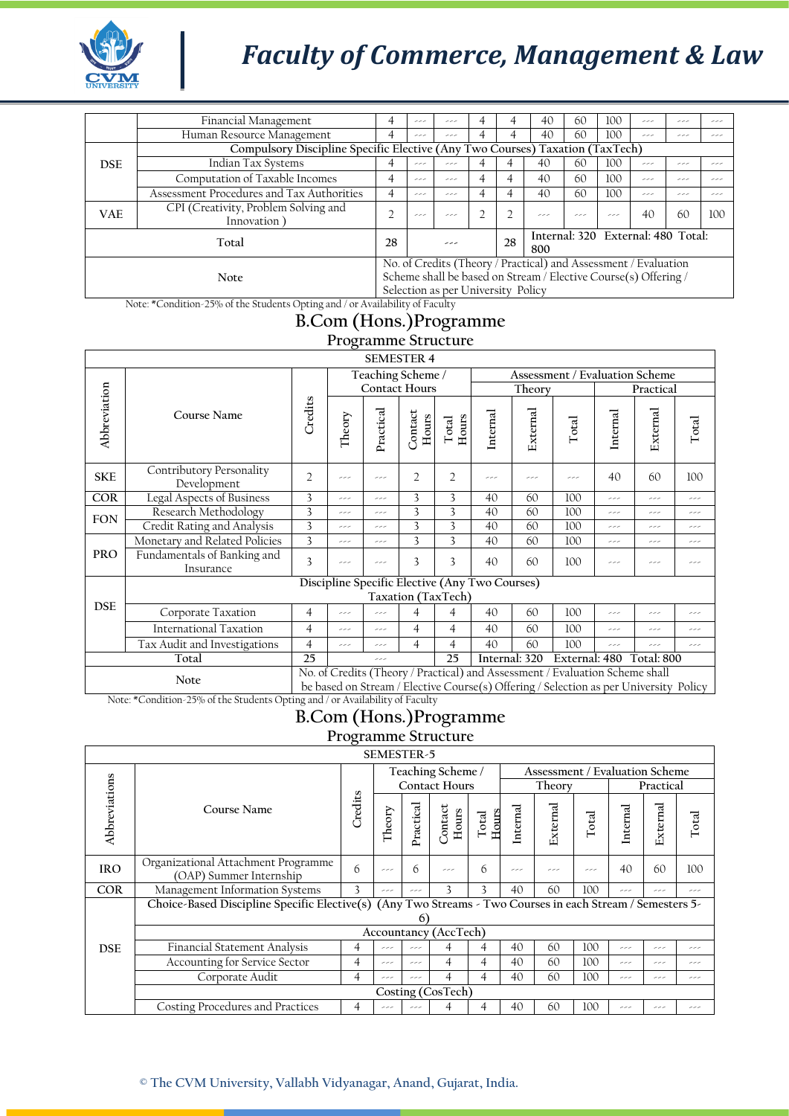

## *Faculty of Commerce, Management & Law*

|                                                                              | Financial Management                                                         |    | ررر | ررر                                |   |    | 40                                                              | 60  | 100 | ر ر                                | ر ر | ر ر |
|------------------------------------------------------------------------------|------------------------------------------------------------------------------|----|-----|------------------------------------|---|----|-----------------------------------------------------------------|-----|-----|------------------------------------|-----|-----|
|                                                                              | Human Resource Management                                                    | 4  | ررر | ررر                                |   |    | 40                                                              | 60  | 100 | ررر                                | ررر | ر ر |
| Compulsory Discipline Specific Elective (Any Two Courses) Taxation (TaxTech) |                                                                              |    |     |                                    |   |    |                                                                 |     |     |                                    |     |     |
| <b>DSE</b>                                                                   | Indian Tax Systems                                                           |    | ررر | ررر                                |   |    | 40                                                              | 60  | 100 | ررر                                | ررر | ر ر |
|                                                                              | Computation of Taxable Incomes                                               |    | ررر | ررر                                | 4 |    | 40                                                              | 60  | 100 | ررر                                | ررر | ر ر |
|                                                                              | Assessment Procedures and Tax Authorities                                    | 4  | ررر | ررر                                | 4 |    | 40                                                              | 60  | 100 | ررر                                | ررر | ر ر |
| <b>VAE</b>                                                                   | CPI (Creativity, Problem Solving and<br>Innovation)                          |    |     | ررر                                |   |    | ررر                                                             | ررر | ررر | 40                                 | 60  | 100 |
|                                                                              | Total                                                                        | 28 |     | ررر                                |   | 28 | 800                                                             |     |     | Internal: 320 External: 480 Total: |     |     |
|                                                                              |                                                                              |    |     |                                    |   |    | No. of Credits (Theory / Practical) and Assessment / Evaluation |     |     |                                    |     |     |
|                                                                              | Note                                                                         |    |     |                                    |   |    | Scheme shall be based on Stream / Elective Course(s) Offering / |     |     |                                    |     |     |
|                                                                              |                                                                              |    |     | Selection as per University Policy |   |    |                                                                 |     |     |                                    |     |     |
|                                                                              | Note: *Condition-25% of the Students Opting and / or Availability of Faculty |    |     |                                    |   |    |                                                                 |     |     |                                    |     |     |

### **B.Com (Hons.)Programme**

#### **Programme Structure**

|                                                                                                                                                                               | <b>SEMESTER 4</b>                        |                |        |           |                      |                         |                                                |          |                                |          |            |       |  |  |
|-------------------------------------------------------------------------------------------------------------------------------------------------------------------------------|------------------------------------------|----------------|--------|-----------|----------------------|-------------------------|------------------------------------------------|----------|--------------------------------|----------|------------|-------|--|--|
|                                                                                                                                                                               |                                          |                |        |           | Teaching Scheme /    |                         |                                                |          | Assessment / Evaluation Scheme |          |            |       |  |  |
|                                                                                                                                                                               |                                          |                |        |           | <b>Contact Hours</b> |                         |                                                | Theory   |                                |          | Practical  |       |  |  |
| Abbreviation                                                                                                                                                                  | Course Name                              | Credits        | Theory | Practical | Contact<br>Hours     | Hours<br>Total          | Internal                                       | External | Total                          | Internal | External   | Total |  |  |
| <b>SKE</b>                                                                                                                                                                    | Contributory Personality<br>Development  | $\overline{2}$ | ررر    | ررر       | $\overline{2}$       | $\overline{2}$          | سدر                                            | ررر      | ررر                            | 40       | 60         | 100   |  |  |
| <b>COR</b>                                                                                                                                                                    | Legal Aspects of Business                | 3              | سدر    | سدر       | 3                    | 3                       | 40                                             | 60       | 100                            | ررر      | ررر        | ررر   |  |  |
| <b>FON</b>                                                                                                                                                                    | Research Methodology                     | 3              | سدر    | ررر       | 3                    | 3                       | 40                                             | 60       | 100                            | سدر      | ررر        | ررر   |  |  |
|                                                                                                                                                                               | Credit Rating and Analysis               | 3              | ررر    | ررر       | 3                    | $\overline{\mathbf{3}}$ | 40                                             | 60       | 100                            | سدر      | ررر        | ررر   |  |  |
|                                                                                                                                                                               | Monetary and Related Policies            | 3              | سدر    | ررر       | 3                    | 3                       | 40                                             | 60       | 100                            | سدر      | ررر        | ررر   |  |  |
| <b>PRO</b>                                                                                                                                                                    | Fundamentals of Banking and<br>Insurance | 3              | ررر    | ررر       | 3                    | 3                       | 40                                             | 60       | 100                            | سدر      | ررر        | ررر   |  |  |
|                                                                                                                                                                               |                                          |                |        |           |                      |                         | Discipline Specific Elective (Any Two Courses) |          |                                |          |            |       |  |  |
|                                                                                                                                                                               |                                          |                |        |           | Taxation (TaxTech)   |                         |                                                |          |                                |          |            |       |  |  |
| <b>DSE</b>                                                                                                                                                                    | Corporate Taxation                       | $\overline{4}$ | ررر    | ررر       | 4                    | $\overline{4}$          | 40                                             | 60       | 100                            | ررر      | ررر        | ررر   |  |  |
|                                                                                                                                                                               | International Taxation                   | $\overline{4}$ | ررر    | ررر       | 4                    | $\overline{4}$          | 40                                             | 60       | 100                            | ررر      | ررر        | ررر   |  |  |
|                                                                                                                                                                               | Tax Audit and Investigations             | $\overline{4}$ | ررر    | ررر       | 4                    | $\overline{4}$          | 40                                             | 60       | 100                            | ررر      | ررر        | ررر   |  |  |
|                                                                                                                                                                               | Total                                    | 25             |        | سدر       |                      | 25                      | Internal: 320                                  |          | External: 480                  |          | Total: 800 |       |  |  |
| No. of Credits (Theory / Practical) and Assessment / Evaluation Scheme shall<br>Note<br>be based on Stream / Elective Course(s) Offering / Selection as per University Policy |                                          |                |        |           |                      |                         |                                                |          |                                |          |            |       |  |  |

Note: \*Condition-25% of the Students Opting and / or Availability of Faculty

## **B.Com (Hons.)Programme**

**Programme Structure**

| <b>SEMESTER-5</b> |                                                                                                           |         |        |           |                       |                |          |                                |       |          |           |       |
|-------------------|-----------------------------------------------------------------------------------------------------------|---------|--------|-----------|-----------------------|----------------|----------|--------------------------------|-------|----------|-----------|-------|
|                   |                                                                                                           |         |        |           | Teaching Scheme /     |                |          | Assessment / Evaluation Scheme |       |          |           |       |
|                   |                                                                                                           |         |        |           | <b>Contact Hours</b>  |                |          | Theory                         |       |          | Practical |       |
| Abbreviations     | Course Name                                                                                               | Credits | Theory | Practical | Contact<br>Hours      | Hours<br>Total | Internal | External                       | Total | Internal | External  | Total |
| <b>IRO</b>        | Organizational Attachment Programme<br>(OAP) Summer Internship                                            | 6       | ررر    | 6         | ررر                   | 6              | ررر      | ررر                            | ررر   | 40       | 60        | 100   |
| <b>COR</b>        | Management Information Systems                                                                            | 3       | ررر    | ررر       | 3                     | 3              | 40       | 60                             | 100   | ررر      | ررر       | ررر   |
|                   | Choice-Based Discipline Specific Elective(s) (Any Two Streams - Two Courses in each Stream / Semesters 5- |         |        |           |                       |                |          |                                |       |          |           |       |
|                   |                                                                                                           |         |        | 6         |                       |                |          |                                |       |          |           |       |
|                   |                                                                                                           |         |        |           | Accountancy (AccTech) |                |          |                                |       |          |           |       |
| <b>DSE</b>        | Financial Statement Analysis                                                                              | 4       | ررر    | ررر       | 4                     | 4              | 40       | 60                             | 100   | ررر      | ررر       | ررر   |
|                   | Accounting for Service Sector                                                                             | 4       | ررر    | ررر       | 4                     | 4              | 40       | 60                             | 100   | ررر      | ررر       | ررر   |
|                   | Corporate Audit                                                                                           | 4       | ررر    | ررر       | 4                     | 4              | 40       | 60                             | 100   | ررر      | ررر       | ررر   |
|                   | Costing (CosTech)                                                                                         |         |        |           |                       |                |          |                                |       |          |           |       |
|                   | Costing Procedures and Practices                                                                          | 4       | ررر    | ررر       | 4                     | 4              | 40       | 60                             | 100   | ررر      | ررر       | ررر   |

#### **© The CVM University, Vallabh Vidyanagar, Anand, Gujarat, India.**